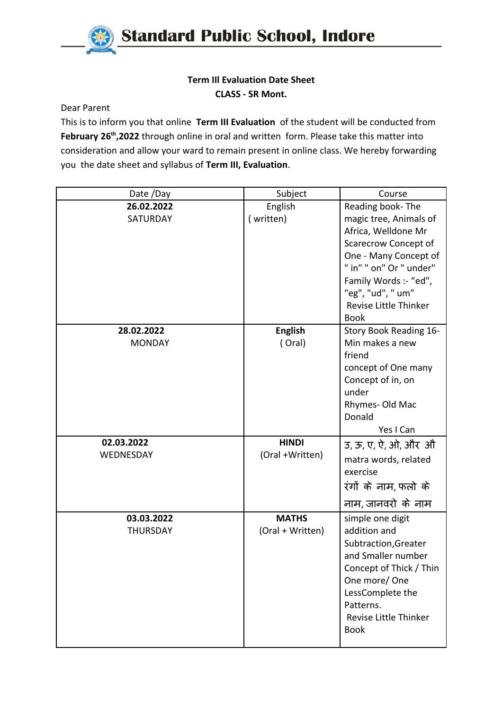

## **Term IIl Evaluation Date Sheet CLASS - SR Mont.**

Dear Parent

This is to inform you that online **Term III Evaluation** of the student will be conducted from February 26<sup>th</sup>,2022 through online in oral and written form. Please take this matter into consideration and allow your ward to remain present in online class. We hereby forwarding you the date sheet and syllabus of **Term III, Evaluation**.

| Date /Day                     | Subject                          | Course                                                                                                                                                                                                                              |
|-------------------------------|----------------------------------|-------------------------------------------------------------------------------------------------------------------------------------------------------------------------------------------------------------------------------------|
| 26.02.2022<br><b>SATURDAY</b> | English<br>(written)             | Reading book-The<br>magic tree, Animals of<br>Africa, Welldone Mr<br>Scarecrow Concept of<br>One - Many Concept of<br>" in" " on" Or " under"<br>Family Words :- "ed",<br>"eg", "ud", " um"<br>Revise Little Thinker<br><b>Book</b> |
| 28.02.2022<br><b>MONDAY</b>   | <b>English</b><br>(Oral)         | Story Book Reading 16-<br>Min makes a new<br>friend<br>concept of One many<br>Concept of in, on<br>under<br>Rhymes-Old Mac<br>Donald<br>Yes I Can                                                                                   |
| 02.03.2022<br>WEDNESDAY       | <b>HINDI</b><br>(Oral +Written)  | उ, ऊ, ए, ऐ, ओ, और औ<br>matra words, related<br>exercise<br>रंगों के नाम,फलो के<br>नाम, जानवरो के नाम                                                                                                                                |
| 03.03.2022<br><b>THURSDAY</b> | <b>MATHS</b><br>(Oral + Written) | simple one digit<br>addition and<br>Subtraction, Greater<br>and Smaller number<br>Concept of Thick / Thin<br>One more/One<br>LessComplete the<br>Patterns.<br><b>Revise Little Thinker</b><br><b>Book</b>                           |